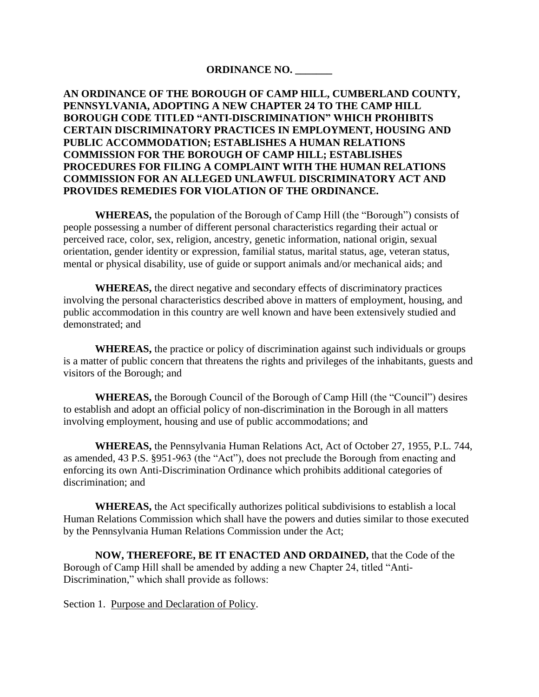### **ORDINANCE NO. \_\_\_\_\_\_\_**

# **AN ORDINANCE OF THE BOROUGH OF CAMP HILL, CUMBERLAND COUNTY, PENNSYLVANIA, ADOPTING A NEW CHAPTER 24 TO THE CAMP HILL BOROUGH CODE TITLED "ANTI-DISCRIMINATION" WHICH PROHIBITS CERTAIN DISCRIMINATORY PRACTICES IN EMPLOYMENT, HOUSING AND PUBLIC ACCOMMODATION; ESTABLISHES A HUMAN RELATIONS COMMISSION FOR THE BOROUGH OF CAMP HILL; ESTABLISHES PROCEDURES FOR FILING A COMPLAINT WITH THE HUMAN RELATIONS COMMISSION FOR AN ALLEGED UNLAWFUL DISCRIMINATORY ACT AND PROVIDES REMEDIES FOR VIOLATION OF THE ORDINANCE.**

**WHEREAS,** the population of the Borough of Camp Hill (the "Borough") consists of people possessing a number of different personal characteristics regarding their actual or perceived race, color, sex, religion, ancestry, genetic information, national origin, sexual orientation, gender identity or expression, familial status, marital status, age, veteran status, mental or physical disability, use of guide or support animals and/or mechanical aids; and

**WHEREAS,** the direct negative and secondary effects of discriminatory practices involving the personal characteristics described above in matters of employment, housing, and public accommodation in this country are well known and have been extensively studied and demonstrated; and

**WHEREAS,** the practice or policy of discrimination against such individuals or groups is a matter of public concern that threatens the rights and privileges of the inhabitants, guests and visitors of the Borough; and

**WHEREAS,** the Borough Council of the Borough of Camp Hill (the "Council") desires to establish and adopt an official policy of non-discrimination in the Borough in all matters involving employment, housing and use of public accommodations; and

**WHEREAS,** the Pennsylvania Human Relations Act, Act of October 27, 1955, P.L. 744, as amended, 43 P.S. §951-963 (the "Act"), does not preclude the Borough from enacting and enforcing its own Anti-Discrimination Ordinance which prohibits additional categories of discrimination; and

**WHEREAS,** the Act specifically authorizes political subdivisions to establish a local Human Relations Commission which shall have the powers and duties similar to those executed by the Pennsylvania Human Relations Commission under the Act;

**NOW, THEREFORE, BE IT ENACTED AND ORDAINED,** that the Code of the Borough of Camp Hill shall be amended by adding a new Chapter 24, titled "Anti-Discrimination," which shall provide as follows:

Section 1. Purpose and Declaration of Policy.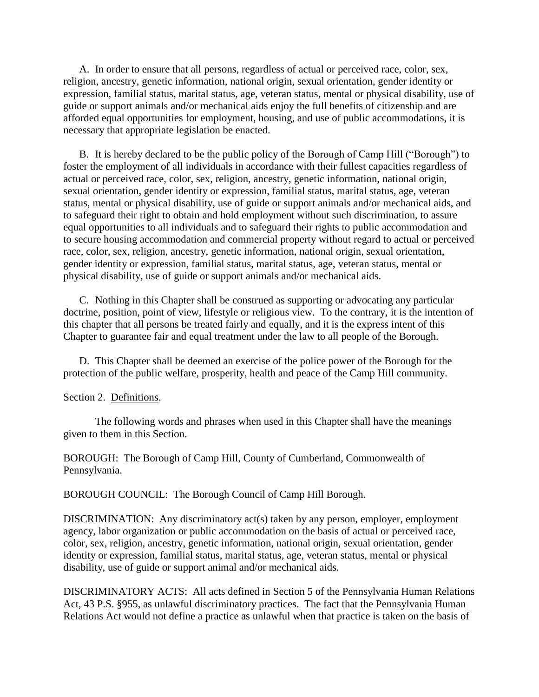A. In order to ensure that all persons, regardless of actual or perceived race, color, sex, religion, ancestry, genetic information, national origin, sexual orientation, gender identity or expression, familial status, marital status, age, veteran status, mental or physical disability, use of guide or support animals and/or mechanical aids enjoy the full benefits of citizenship and are afforded equal opportunities for employment, housing, and use of public accommodations, it is necessary that appropriate legislation be enacted.

B. It is hereby declared to be the public policy of the Borough of Camp Hill ("Borough") to foster the employment of all individuals in accordance with their fullest capacities regardless of actual or perceived race, color, sex, religion, ancestry, genetic information, national origin, sexual orientation, gender identity or expression, familial status, marital status, age, veteran status, mental or physical disability, use of guide or support animals and/or mechanical aids, and to safeguard their right to obtain and hold employment without such discrimination, to assure equal opportunities to all individuals and to safeguard their rights to public accommodation and to secure housing accommodation and commercial property without regard to actual or perceived race, color, sex, religion, ancestry, genetic information, national origin, sexual orientation, gender identity or expression, familial status, marital status, age, veteran status, mental or physical disability, use of guide or support animals and/or mechanical aids.

C. Nothing in this Chapter shall be construed as supporting or advocating any particular doctrine, position, point of view, lifestyle or religious view. To the contrary, it is the intention of this chapter that all persons be treated fairly and equally, and it is the express intent of this Chapter to guarantee fair and equal treatment under the law to all people of the Borough.

D. This Chapter shall be deemed an exercise of the police power of the Borough for the protection of the public welfare, prosperity, health and peace of the Camp Hill community.

#### Section 2. Definitions.

The following words and phrases when used in this Chapter shall have the meanings given to them in this Section.

BOROUGH: The Borough of Camp Hill, County of Cumberland, Commonwealth of Pennsylvania.

BOROUGH COUNCIL: The Borough Council of Camp Hill Borough.

DISCRIMINATION: Any discriminatory act(s) taken by any person, employer, employment agency, labor organization or public accommodation on the basis of actual or perceived race, color, sex, religion, ancestry, genetic information, national origin, sexual orientation, gender identity or expression, familial status, marital status, age, veteran status, mental or physical disability, use of guide or support animal and/or mechanical aids.

DISCRIMINATORY ACTS: All acts defined in Section 5 of the Pennsylvania Human Relations Act, 43 P.S. §955, as unlawful discriminatory practices. The fact that the Pennsylvania Human Relations Act would not define a practice as unlawful when that practice is taken on the basis of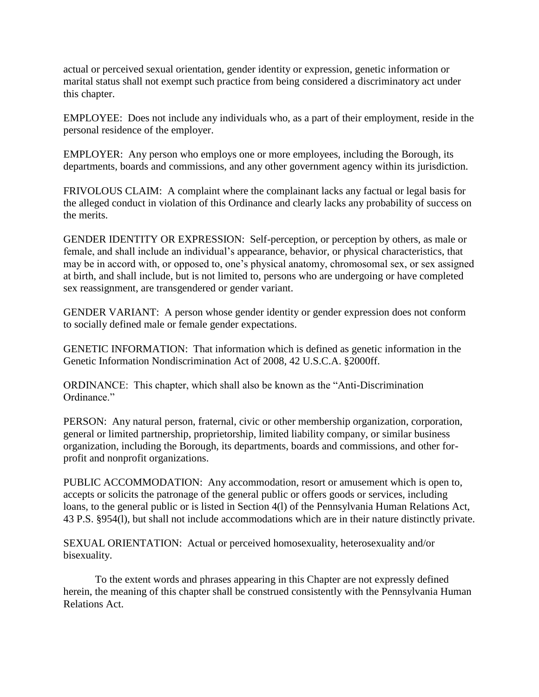actual or perceived sexual orientation, gender identity or expression, genetic information or marital status shall not exempt such practice from being considered a discriminatory act under this chapter.

EMPLOYEE: Does not include any individuals who, as a part of their employment, reside in the personal residence of the employer.

EMPLOYER: Any person who employs one or more employees, including the Borough, its departments, boards and commissions, and any other government agency within its jurisdiction.

FRIVOLOUS CLAIM: A complaint where the complainant lacks any factual or legal basis for the alleged conduct in violation of this Ordinance and clearly lacks any probability of success on the merits.

GENDER IDENTITY OR EXPRESSION: Self-perception, or perception by others, as male or female, and shall include an individual's appearance, behavior, or physical characteristics, that may be in accord with, or opposed to, one's physical anatomy, chromosomal sex, or sex assigned at birth, and shall include, but is not limited to, persons who are undergoing or have completed sex reassignment, are transgendered or gender variant.

GENDER VARIANT: A person whose gender identity or gender expression does not conform to socially defined male or female gender expectations.

GENETIC INFORMATION: That information which is defined as genetic information in the Genetic Information Nondiscrimination Act of 2008, 42 U.S.C.A. §2000ff.

ORDINANCE: This chapter, which shall also be known as the "Anti-Discrimination Ordinance."

PERSON: Any natural person, fraternal, civic or other membership organization, corporation, general or limited partnership, proprietorship, limited liability company, or similar business organization, including the Borough, its departments, boards and commissions, and other forprofit and nonprofit organizations.

PUBLIC ACCOMMODATION: Any accommodation, resort or amusement which is open to, accepts or solicits the patronage of the general public or offers goods or services, including loans, to the general public or is listed in Section 4(l) of the Pennsylvania Human Relations Act, 43 P.S. §954(l), but shall not include accommodations which are in their nature distinctly private.

SEXUAL ORIENTATION: Actual or perceived homosexuality, heterosexuality and/or bisexuality.

To the extent words and phrases appearing in this Chapter are not expressly defined herein, the meaning of this chapter shall be construed consistently with the Pennsylvania Human Relations Act.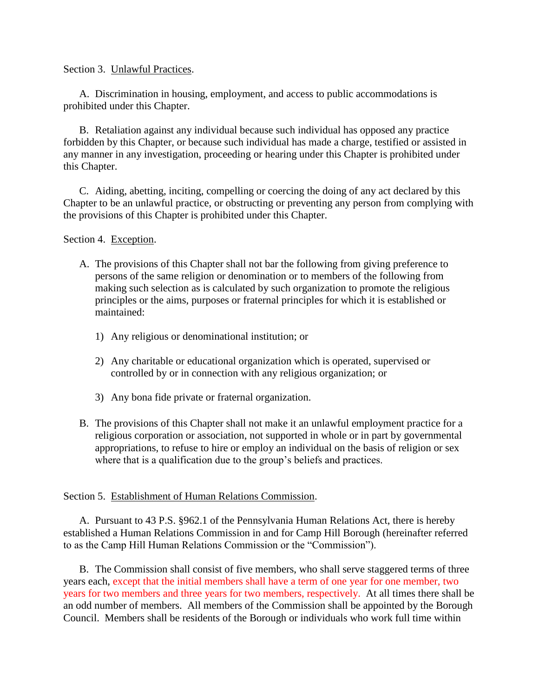Section 3. Unlawful Practices.

A. Discrimination in housing, employment, and access to public accommodations is prohibited under this Chapter.

B. Retaliation against any individual because such individual has opposed any practice forbidden by this Chapter, or because such individual has made a charge, testified or assisted in any manner in any investigation, proceeding or hearing under this Chapter is prohibited under this Chapter.

C. Aiding, abetting, inciting, compelling or coercing the doing of any act declared by this Chapter to be an unlawful practice, or obstructing or preventing any person from complying with the provisions of this Chapter is prohibited under this Chapter.

Section 4. Exception.

- A. The provisions of this Chapter shall not bar the following from giving preference to persons of the same religion or denomination or to members of the following from making such selection as is calculated by such organization to promote the religious principles or the aims, purposes or fraternal principles for which it is established or maintained:
	- 1) Any religious or denominational institution; or
	- 2) Any charitable or educational organization which is operated, supervised or controlled by or in connection with any religious organization; or
	- 3) Any bona fide private or fraternal organization.
- B. The provisions of this Chapter shall not make it an unlawful employment practice for a religious corporation or association, not supported in whole or in part by governmental appropriations, to refuse to hire or employ an individual on the basis of religion or sex where that is a qualification due to the group's beliefs and practices.

## Section 5. Establishment of Human Relations Commission.

A. Pursuant to 43 P.S. §962.1 of the Pennsylvania Human Relations Act, there is hereby established a Human Relations Commission in and for Camp Hill Borough (hereinafter referred to as the Camp Hill Human Relations Commission or the "Commission").

B. The Commission shall consist of five members, who shall serve staggered terms of three years each, except that the initial members shall have a term of one year for one member, two years for two members and three years for two members, respectively. At all times there shall be an odd number of members. All members of the Commission shall be appointed by the Borough Council. Members shall be residents of the Borough or individuals who work full time within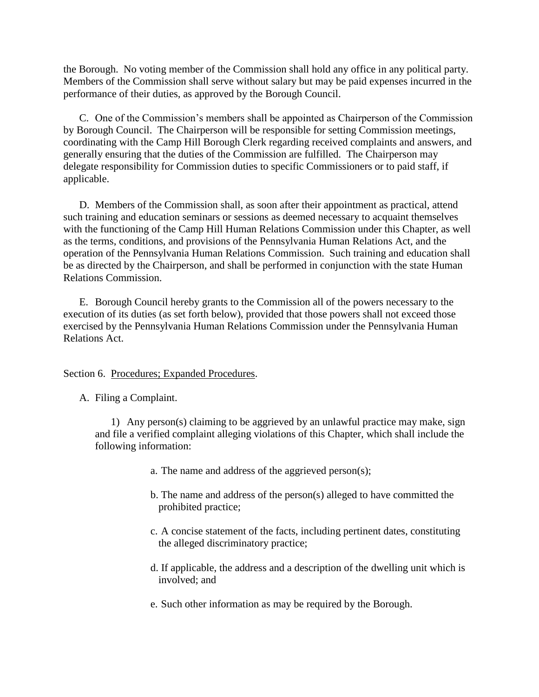the Borough. No voting member of the Commission shall hold any office in any political party. Members of the Commission shall serve without salary but may be paid expenses incurred in the performance of their duties, as approved by the Borough Council.

C. One of the Commission's members shall be appointed as Chairperson of the Commission by Borough Council. The Chairperson will be responsible for setting Commission meetings, coordinating with the Camp Hill Borough Clerk regarding received complaints and answers, and generally ensuring that the duties of the Commission are fulfilled. The Chairperson may delegate responsibility for Commission duties to specific Commissioners or to paid staff, if applicable.

D. Members of the Commission shall, as soon after their appointment as practical, attend such training and education seminars or sessions as deemed necessary to acquaint themselves with the functioning of the Camp Hill Human Relations Commission under this Chapter, as well as the terms, conditions, and provisions of the Pennsylvania Human Relations Act, and the operation of the Pennsylvania Human Relations Commission. Such training and education shall be as directed by the Chairperson, and shall be performed in conjunction with the state Human Relations Commission.

E. Borough Council hereby grants to the Commission all of the powers necessary to the execution of its duties (as set forth below), provided that those powers shall not exceed those exercised by the Pennsylvania Human Relations Commission under the Pennsylvania Human Relations Act.

Section 6. Procedures; Expanded Procedures.

A. Filing a Complaint.

1) Any person(s) claiming to be aggrieved by an unlawful practice may make, sign and file a verified complaint alleging violations of this Chapter, which shall include the following information:

- a. The name and address of the aggrieved person(s);
- b. The name and address of the person(s) alleged to have committed the prohibited practice;
- c. A concise statement of the facts, including pertinent dates, constituting the alleged discriminatory practice;
- d. If applicable, the address and a description of the dwelling unit which is involved; and
- e. Such other information as may be required by the Borough.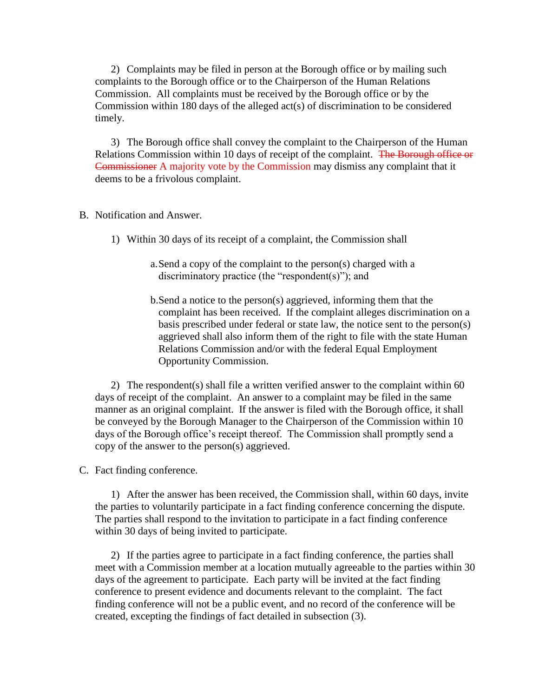2) Complaints may be filed in person at the Borough office or by mailing such complaints to the Borough office or to the Chairperson of the Human Relations Commission. All complaints must be received by the Borough office or by the Commission within 180 days of the alleged act(s) of discrimination to be considered timely.

3) The Borough office shall convey the complaint to the Chairperson of the Human Relations Commission within 10 days of receipt of the complaint. The Borough office or Commissioner A majority vote by the Commission may dismiss any complaint that it deems to be a frivolous complaint.

- B. Notification and Answer.
	- 1) Within 30 days of its receipt of a complaint, the Commission shall
		- a.Send a copy of the complaint to the person(s) charged with a discriminatory practice (the "respondent(s)"); and
		- b.Send a notice to the person(s) aggrieved, informing them that the complaint has been received. If the complaint alleges discrimination on a basis prescribed under federal or state law, the notice sent to the person(s) aggrieved shall also inform them of the right to file with the state Human Relations Commission and/or with the federal Equal Employment Opportunity Commission.

2) The respondent(s) shall file a written verified answer to the complaint within 60 days of receipt of the complaint. An answer to a complaint may be filed in the same manner as an original complaint. If the answer is filed with the Borough office, it shall be conveyed by the Borough Manager to the Chairperson of the Commission within 10 days of the Borough office's receipt thereof. The Commission shall promptly send a copy of the answer to the person(s) aggrieved.

C. Fact finding conference.

1) After the answer has been received, the Commission shall, within 60 days, invite the parties to voluntarily participate in a fact finding conference concerning the dispute. The parties shall respond to the invitation to participate in a fact finding conference within 30 days of being invited to participate.

2) If the parties agree to participate in a fact finding conference, the parties shall meet with a Commission member at a location mutually agreeable to the parties within 30 days of the agreement to participate. Each party will be invited at the fact finding conference to present evidence and documents relevant to the complaint. The fact finding conference will not be a public event, and no record of the conference will be created, excepting the findings of fact detailed in subsection (3).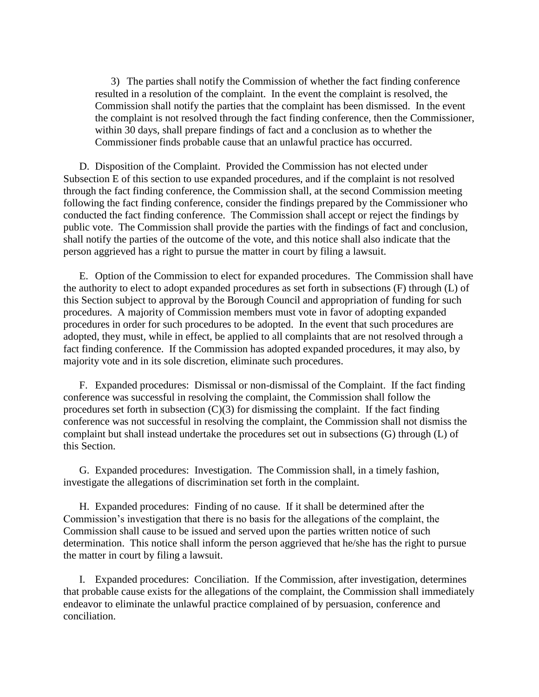3) The parties shall notify the Commission of whether the fact finding conference resulted in a resolution of the complaint. In the event the complaint is resolved, the Commission shall notify the parties that the complaint has been dismissed. In the event the complaint is not resolved through the fact finding conference, then the Commissioner, within 30 days, shall prepare findings of fact and a conclusion as to whether the Commissioner finds probable cause that an unlawful practice has occurred.

D. Disposition of the Complaint. Provided the Commission has not elected under Subsection E of this section to use expanded procedures, and if the complaint is not resolved through the fact finding conference, the Commission shall, at the second Commission meeting following the fact finding conference, consider the findings prepared by the Commissioner who conducted the fact finding conference. The Commission shall accept or reject the findings by public vote. The Commission shall provide the parties with the findings of fact and conclusion, shall notify the parties of the outcome of the vote, and this notice shall also indicate that the person aggrieved has a right to pursue the matter in court by filing a lawsuit.

E. Option of the Commission to elect for expanded procedures. The Commission shall have the authority to elect to adopt expanded procedures as set forth in subsections (F) through (L) of this Section subject to approval by the Borough Council and appropriation of funding for such procedures. A majority of Commission members must vote in favor of adopting expanded procedures in order for such procedures to be adopted. In the event that such procedures are adopted, they must, while in effect, be applied to all complaints that are not resolved through a fact finding conference. If the Commission has adopted expanded procedures, it may also, by majority vote and in its sole discretion, eliminate such procedures.

F. Expanded procedures: Dismissal or non-dismissal of the Complaint. If the fact finding conference was successful in resolving the complaint, the Commission shall follow the procedures set forth in subsection  $(C)(3)$  for dismissing the complaint. If the fact finding conference was not successful in resolving the complaint, the Commission shall not dismiss the complaint but shall instead undertake the procedures set out in subsections (G) through (L) of this Section.

G. Expanded procedures: Investigation. The Commission shall, in a timely fashion, investigate the allegations of discrimination set forth in the complaint.

H. Expanded procedures: Finding of no cause. If it shall be determined after the Commission's investigation that there is no basis for the allegations of the complaint, the Commission shall cause to be issued and served upon the parties written notice of such determination. This notice shall inform the person aggrieved that he/she has the right to pursue the matter in court by filing a lawsuit.

I. Expanded procedures: Conciliation. If the Commission, after investigation, determines that probable cause exists for the allegations of the complaint, the Commission shall immediately endeavor to eliminate the unlawful practice complained of by persuasion, conference and conciliation.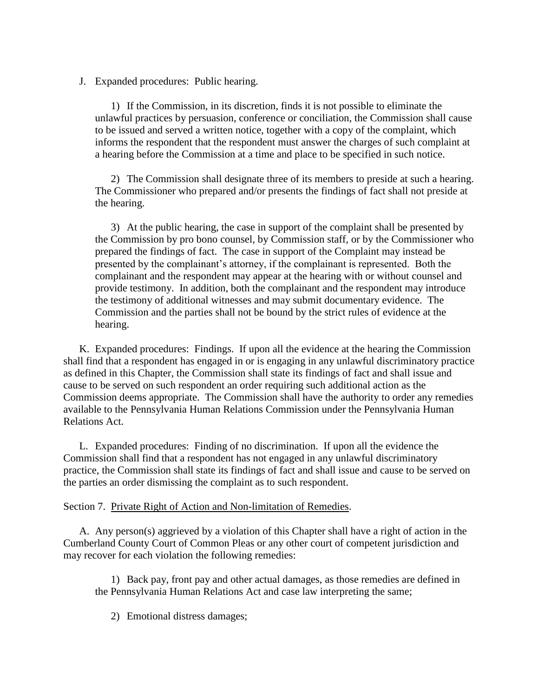J. Expanded procedures: Public hearing.

1) If the Commission, in its discretion, finds it is not possible to eliminate the unlawful practices by persuasion, conference or conciliation, the Commission shall cause to be issued and served a written notice, together with a copy of the complaint, which informs the respondent that the respondent must answer the charges of such complaint at a hearing before the Commission at a time and place to be specified in such notice.

2) The Commission shall designate three of its members to preside at such a hearing. The Commissioner who prepared and/or presents the findings of fact shall not preside at the hearing.

3) At the public hearing, the case in support of the complaint shall be presented by the Commission by pro bono counsel, by Commission staff, or by the Commissioner who prepared the findings of fact. The case in support of the Complaint may instead be presented by the complainant's attorney, if the complainant is represented. Both the complainant and the respondent may appear at the hearing with or without counsel and provide testimony. In addition, both the complainant and the respondent may introduce the testimony of additional witnesses and may submit documentary evidence. The Commission and the parties shall not be bound by the strict rules of evidence at the hearing.

K. Expanded procedures: Findings. If upon all the evidence at the hearing the Commission shall find that a respondent has engaged in or is engaging in any unlawful discriminatory practice as defined in this Chapter, the Commission shall state its findings of fact and shall issue and cause to be served on such respondent an order requiring such additional action as the Commission deems appropriate. The Commission shall have the authority to order any remedies available to the Pennsylvania Human Relations Commission under the Pennsylvania Human Relations Act.

L. Expanded procedures: Finding of no discrimination. If upon all the evidence the Commission shall find that a respondent has not engaged in any unlawful discriminatory practice, the Commission shall state its findings of fact and shall issue and cause to be served on the parties an order dismissing the complaint as to such respondent.

#### Section 7. Private Right of Action and Non-limitation of Remedies.

A. Any person(s) aggrieved by a violation of this Chapter shall have a right of action in the Cumberland County Court of Common Pleas or any other court of competent jurisdiction and may recover for each violation the following remedies:

1) Back pay, front pay and other actual damages, as those remedies are defined in the Pennsylvania Human Relations Act and case law interpreting the same;

2) Emotional distress damages;